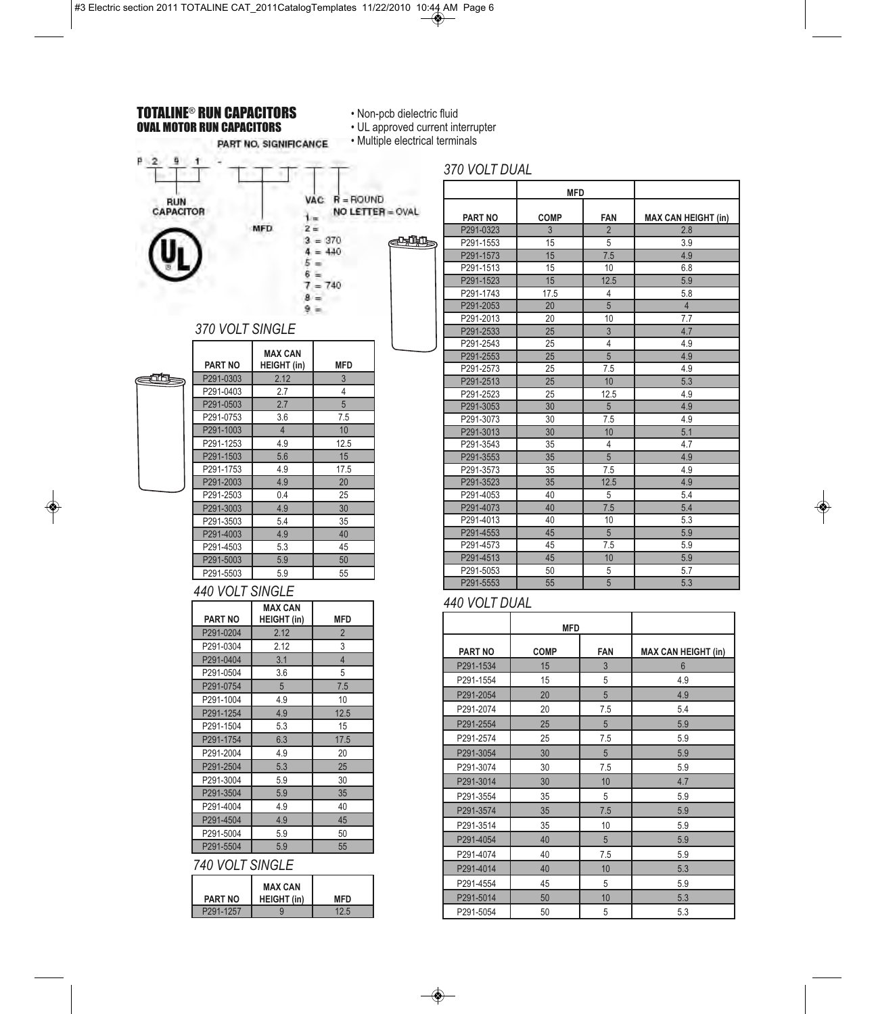### TOTALINE® RUN CAPACITORS OVAL MOTOR RUN CAPACITORS

ŧ

PART NO, SIGNIFICANCE

**PART NO** 

370 VOLT SIN

• Non-pcb dielectric fluid

• UL approved current interrupter

• Multiple electrical terminals

**CHILL** 

# **RUN**<br>CAPACITOR

p  $\overline{2}$ 

| MFD.<br>$5 =$                        | VAC R = ROUND<br>$1 =$<br>$2 =$<br>$3 = 370$<br>$4 = 440$<br>$6 =$<br>$7 = 740$<br>$8 =$<br>$9 =$ | NO LETTER = OVAL<br>क्यूम |
|--------------------------------------|---------------------------------------------------------------------------------------------------|---------------------------|
| <b>SINGLE</b>                        |                                                                                                   |                           |
| <b>MAX CAN</b><br><b>HEIGHT</b> (in) | <b>MFD</b>                                                                                        |                           |
| 2.12                                 | 3                                                                                                 |                           |
| 2.7                                  | 4                                                                                                 |                           |
| 2.7                                  | 5                                                                                                 |                           |
| 3.6                                  | 7.5                                                                                               |                           |
| $\overline{4}$                       | 10                                                                                                |                           |
| 4.9                                  | 12.5                                                                                              |                           |
| 5.6                                  | 15                                                                                                |                           |
| 4.9                                  | 17.5                                                                                              |                           |
| 4.9                                  | 20                                                                                                |                           |
| 0.4                                  | 25                                                                                                |                           |

eth

| P291-0303 | 2.12 | 3    |
|-----------|------|------|
| P291-0403 | 2.7  | 4    |
| P291-0503 | 2.7  | 5    |
| P291-0753 | 3.6  | 7.5  |
| P291-1003 | 4    | 10   |
| P291-1253 | 4.9  | 12.5 |
| P291-1503 | 5.6  | 15   |
| P291-1753 | 4.9  | 17.5 |
| P291-2003 | 4.9  | 20   |
| P291-2503 | 0.4  | 25   |
| P291-3003 | 4.9  | 30   |
| P291-3503 | 5.4  | 35   |
| P291-4003 | 4.9  | 40   |
| P291-4503 | 5.3  | 45   |
| P291-5003 | 5.9  | 50   |
| P291-5503 | 5.9  | 55   |

### *440 VOLT SINGLE*

|                | <b>MAX CAN</b>     |                |  |  |
|----------------|--------------------|----------------|--|--|
| <b>PART NO</b> | <b>HEIGHT (in)</b> | <b>MFD</b>     |  |  |
| P291-0204      | 2.12               | 2              |  |  |
| P291-0304      | 2.12               | 3              |  |  |
| P291-0404      | 3.1                | $\overline{4}$ |  |  |
| P291-0504      | 3.6                | 5              |  |  |
| P291-0754      | 5                  | 7.5            |  |  |
| P291-1004      | 4.9                | 10             |  |  |
| P291-1254      | 4.9                | 12.5           |  |  |
| P291-1504      | 5.3                | 15             |  |  |
| P291-1754      | 6.3                | 17.5           |  |  |
| P291-2004      | 4.9                | 20             |  |  |
| P291-2504      | 5.3                | 25             |  |  |
| P291-3004      | 5.9                | 30             |  |  |
| P291-3504      | 5.9                | 35             |  |  |
| P291-4004      | 4.9                | 40             |  |  |
| P291-4504      | 4.9                | 45             |  |  |
| P291-5004      | 5.9                | 50             |  |  |
| P291-5504      | 5.9                | 55             |  |  |

# *740 VOLT SINGLE*

| <b>PART NO</b> | <b>MAX CAN</b><br><b>HEIGHT</b> (in) | MFD |
|----------------|--------------------------------------|-----|
| P291-1257      |                                      |     |

|                | <b>MFD</b>  |                |                            |
|----------------|-------------|----------------|----------------------------|
| <b>PART NO</b> | <b>COMP</b> | <b>FAN</b>     | <b>MAX CAN HEIGHT (in)</b> |
| P291-0323      | 3           | $\overline{2}$ | 2.8                        |
| P291-1553      | 15          | 5              | 3.9                        |
| P291-1573      | 15          | 7.5            | 4.9                        |
| P291-1513      | 15          | 10             | 6.8                        |
| P291-1523      | 15          | 12.5           | 5.9                        |
| P291-1743      | 17.5        | 4              | 5.8                        |
| P291-2053      | 20          | 5              | $\overline{4}$             |
| P291-2013      | 20          | 10             | 7.7                        |
| P291-2533      | 25          | 3              | 4.7                        |
| P291-2543      | 25          | 4              | 4.9                        |
| P291-2553      | 25          | 5              | 4.9                        |
| P291-2573      | 25          | 7.5            | 4.9                        |
| P291-2513      | 25          | 10             | 5.3                        |
| P291-2523      | 25          | 12.5           | 4.9                        |
| P291-3053      | 30          | 5              | 4.9                        |
| P291-3073      | 30          | 7.5            | 4.9                        |
| P291-3013      | 30          | 10             | 5.1                        |
| P291-3543      | 35          | 4              | 4.7                        |
| P291-3553      | 35          | 5              | 4.9                        |
| P291-3573      | 35          | 7.5            | 4.9                        |
| P291-3523      | 35          | 12.5           | 4.9                        |
| P291-4053      | 40          | 5              | 5.4                        |
| P291-4073      | 40          | 7.5            | 5.4                        |
| P291-4013      | 40          | 10             | 5.3                        |
| P291-4553      | 45          | 5              | 5.9                        |
| P291-4573      | 45          | 7.5            | 5.9                        |
| P291-4513      | 45          | 10             | 5.9                        |
| P291-5053      | 50          | 5              | 5.7                        |
| P291-5553      | 55          | 5              | 5.3                        |

# *440 VOLT DUAL*

|                | <b>MFD</b>  |            |                            |
|----------------|-------------|------------|----------------------------|
| <b>PART NO</b> | <b>COMP</b> | <b>FAN</b> | <b>MAX CAN HEIGHT (in)</b> |
| P291-1534      | 15          | 3          | $6\phantom{1}6$            |
| P291-1554      | 15          | 5          | 4.9                        |
| P291-2054      | 20          | 5          | 4.9                        |
| P291-2074      | 20          | 7.5        | 5.4                        |
| P291-2554      | 25          | 5          | 5.9                        |
| P291-2574      | 25          | 7.5        | 5.9                        |
| P291-3054      | 30          | 5          | 5.9                        |
| P291-3074      | 30          | 7.5        | 5.9                        |
| P291-3014      | 30          | 10         | 4.7                        |
| P291-3554      | 35          | 5          | 5.9                        |
| P291-3574      | 35          | 7.5        | 5.9                        |
| P291-3514      | 35          | 10         | 5.9                        |
| P291-4054      | 40          | 5          | 5.9                        |
| P291-4074      | 40          | 7.5        | 5.9                        |
| P291-4014      | 40          | 10         | 5.3                        |
| P291-4554      | 45          | 5          | 5.9                        |
| P291-5014      | 50          | 10         | 5.3                        |
| P291-5054      | 50          | 5          | 5.3                        |

# *370 VOLT DUAL*